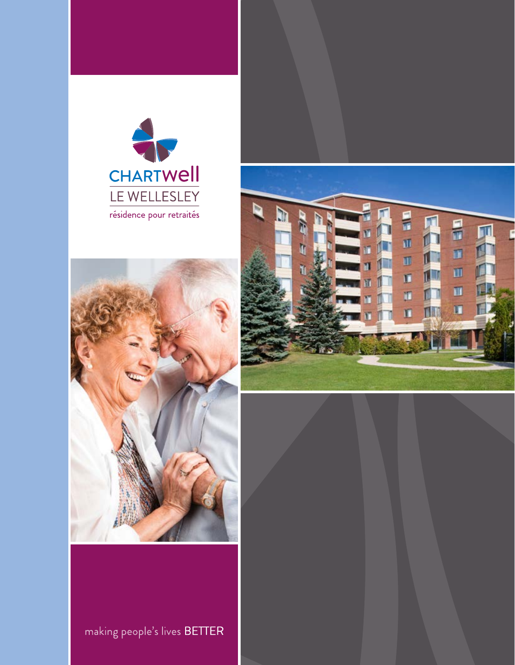





making people's lives BETTER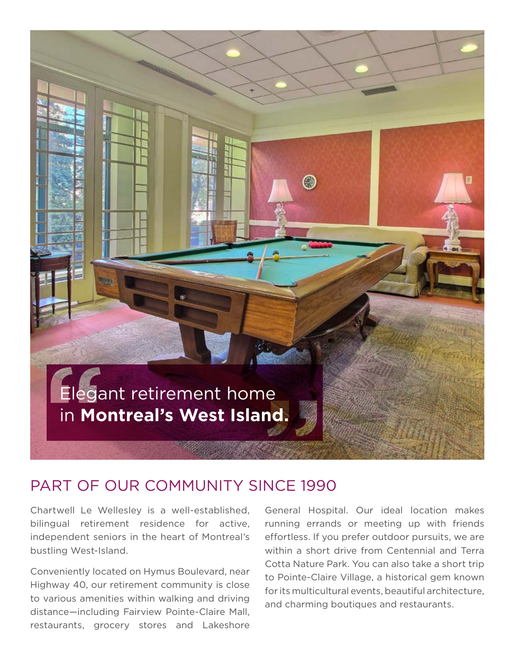

### PART OF OUR COMMUNITY SINCE 1990

Chartwell Le Wellesley is a well-established, General Hospital. Our ideal location makes bilingual retirement residence for active, running errands or meeting up with friends independent seniors in the heart of Montreal's effortless. If you prefer outdoor pursuits, we are bustling West-Island. within a short drive from Centennial and Terra

restaurants, grocery stores and Lakeshore

Conveniently located on Hymus Boulevard, near<br>
Highway 40, our retirement community is close<br>
to Pointe-Claire Village, a historical gem known<br>
for its multicultural events, beautiful architecture,<br>
distance—including Fair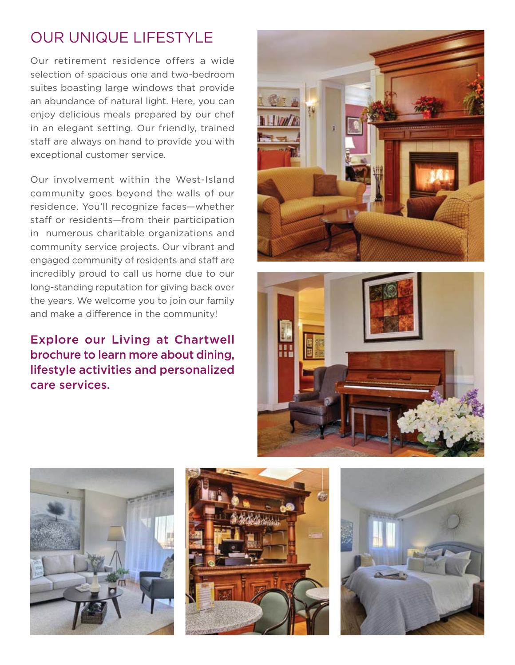# OUR UNIQUE LIFESTYLE

Our retirement residence offers a wide selection of spacious one and two-bedroom suites boasting large windows that provide an abundance of natural light. Here, you can enjoy delicious meals prepared by our chef in an elegant setting. Our friendly, trained staff are always on hand to provide you with exceptional customer service.

Our involvement within the West-Island community goes beyond the walls of our residence. You'll recognize faces—whether staff or residents—from their participation in numerous charitable organizations and community service projects. Our vibrant and engaged community of residents and staff are incredibly proud to call us home due to our long-standing reputation for giving back over the years. We welcome you to join our family and make a difference in the community!

### Explore our Living at Chartwell brochure to learn more about dining, lifestyle activities and personalized care services.









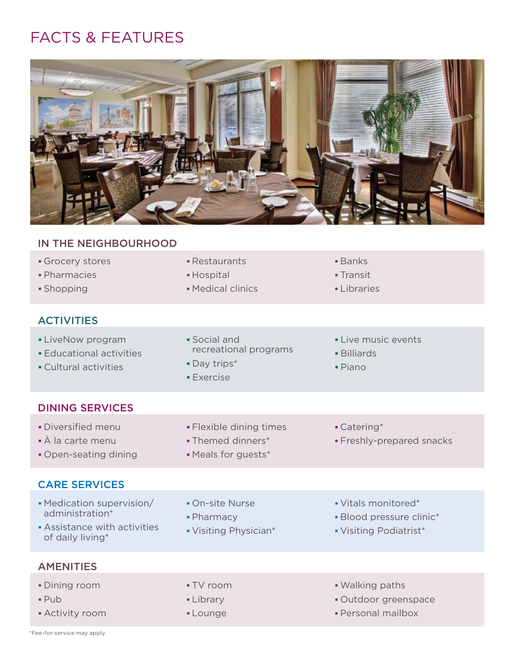# FACTS & FEATURES



#### IN THE NEIGHBOURHOOD

- Grocery stores **Banks Restaurants Banks**
- **Pharmacies <b>Example 2** Hospital **Contract Contract Contract Contract Contract Contract Contract Contract Contract**
- 

#### **ACTIVITIES**

- 
- 
- Day trips\* Cultural activities Piano
- 
- 
- **Shopping Community Community** Medical clinics **Community Community Community** Libraries
- 
- 
- 
- **LiveNow program Social and Social and Live music events** • Educational activities **Educational activities Billiards** 
	-
	- **Exercise**
- 
- 
- 

#### DINING SERVICES

- Diversified menu **Flexible dining times** Catering\*
- À la carte menu Themed dinners\* Freshly-prepared snacks
- Open-seating dining Meals for guests\*

#### CARE SERVICES

- Medication supervision/ On-site Nurse Vitals monitored\* administration\* **Pharmacy Pharmacy Blood pressure clinic**\*
	-
- Assistance with activities <br>
of daily living\* 
of daily living\*
- -
- **AMENITIES**
- 
- 
- 
- 
- 
- 
- 
- 
- 
- Dining room TV room Walking paths
- Pub **Library Community** Pub **Community** Pub **Community** Pub **Community** Pub **Community** Pub **Community** Pub **Community** Pub **Community** Pub **Community** Pub **Community** Pub **Community** Pub **Community** Pub **Community** Pub
- Activity room **COVID-10** Lounge **COVID-10** Personal mailbox